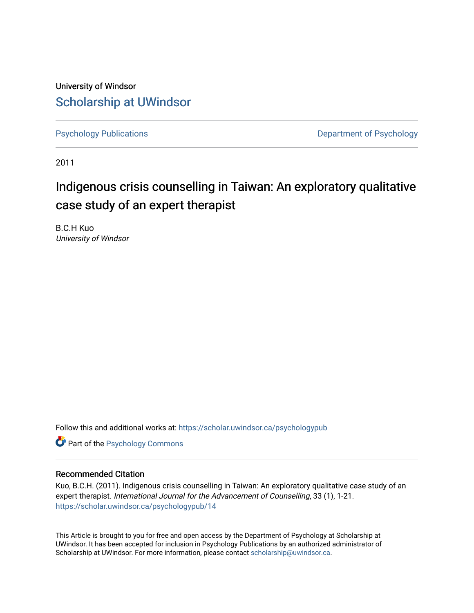University of Windsor [Scholarship at UWindsor](https://scholar.uwindsor.ca/) 

[Psychology Publications](https://scholar.uwindsor.ca/psychologypub) **Department of Psychology** 

2011

# Indigenous crisis counselling in Taiwan: An exploratory qualitative case study of an expert therapist

B.C.H Kuo University of Windsor

Follow this and additional works at: [https://scholar.uwindsor.ca/psychologypub](https://scholar.uwindsor.ca/psychologypub?utm_source=scholar.uwindsor.ca%2Fpsychologypub%2F14&utm_medium=PDF&utm_campaign=PDFCoverPages) 

**Part of the Psychology Commons** 

### Recommended Citation

Kuo, B.C.H. (2011). Indigenous crisis counselling in Taiwan: An exploratory qualitative case study of an expert therapist. International Journal for the Advancement of Counselling, 33 (1), 1-21. [https://scholar.uwindsor.ca/psychologypub/14](https://scholar.uwindsor.ca/psychologypub/14?utm_source=scholar.uwindsor.ca%2Fpsychologypub%2F14&utm_medium=PDF&utm_campaign=PDFCoverPages)

This Article is brought to you for free and open access by the Department of Psychology at Scholarship at UWindsor. It has been accepted for inclusion in Psychology Publications by an authorized administrator of Scholarship at UWindsor. For more information, please contact [scholarship@uwindsor.ca.](mailto:scholarship@uwindsor.ca)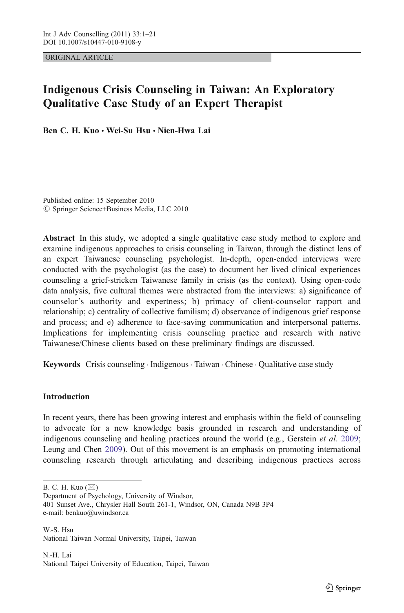ORIGINAL ARTICLE

## Indigenous Crisis Counseling in Taiwan: An Exploratory Qualitative Case Study of an Expert Therapist

Ben C. H. Kuo · Wei-Su Hsu · Nien-Hwa Lai

Published online: 15 September 2010  $\circledcirc$  Springer Science+Business Media, LLC 2010

Abstract In this study, we adopted a single qualitative case study method to explore and examine indigenous approaches to crisis counseling in Taiwan, through the distinct lens of an expert Taiwanese counseling psychologist. In-depth, open-ended interviews were conducted with the psychologist (as the case) to document her lived clinical experiences counseling a grief-stricken Taiwanese family in crisis (as the context). Using open-code data analysis, five cultural themes were abstracted from the interviews: a) significance of counselor's authority and expertness; b) primacy of client-counselor rapport and relationship; c) centrality of collective familism; d) observance of indigenous grief response and process; and e) adherence to face-saving communication and interpersonal patterns. Implications for implementing crisis counseling practice and research with native Taiwanese/Chinese clients based on these preliminary findings are discussed.

Keywords Crisis counseling . Indigenous . Taiwan . Chinese . Qualitative case study

#### Introduction

In recent years, there has been growing interest and emphasis within the field of counseling to advocate for a new knowledge basis grounded in research and understanding of indigenous counseling and healing practices around the world (e.g., Gerstein et al. [2009](#page-20-0); Leung and Chen [2009](#page-20-0)). Out of this movement is an emphasis on promoting international counseling research through articulating and describing indigenous practices across

B. C. H. Kuo  $(\boxtimes)$ 

Department of Psychology, University of Windsor,

401 Sunset Ave., Chrysler Hall South 261-1, Windsor, ON, Canada N9B 3P4 e-mail: benkuo@uwindsor.ca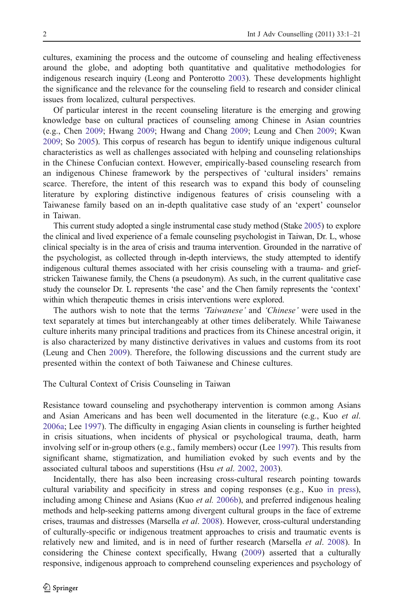cultures, examining the process and the outcome of counseling and healing effectiveness around the globe, and adopting both quantitative and qualitative methodologies for indigenous research inquiry (Leong and Ponterotto [2003](#page-20-0)). These developments highlight the significance and the relevance for the counseling field to research and consider clinical issues from localized, cultural perspectives.

Of particular interest in the recent counseling literature is the emerging and growing knowledge base on cultural practices of counseling among Chinese in Asian countries (e.g., Chen [2009](#page-20-0); Hwang [2009](#page-20-0); Hwang and Chang [2009;](#page-20-0) Leung and Chen [2009;](#page-20-0) Kwan [2009;](#page-20-0) So [2005\)](#page-21-0). This corpus of research has begun to identify unique indigenous cultural characteristics as well as challenges associated with helping and counseling relationships in the Chinese Confucian context. However, empirically-based counseling research from an indigenous Chinese framework by the perspectives of 'cultural insiders' remains scarce. Therefore, the intent of this research was to expand this body of counseling literature by exploring distinctive indigenous features of crisis counseling with a Taiwanese family based on an in-depth qualitative case study of an 'expert' counselor in Taiwan.

This current study adopted a single instrumental case study method (Stake [2005\)](#page-21-0) to explore the clinical and lived experience of a female counseling psychologist in Taiwan, Dr. L, whose clinical specialty is in the area of crisis and trauma intervention. Grounded in the narrative of the psychologist, as collected through in-depth interviews, the study attempted to identify indigenous cultural themes associated with her crisis counseling with a trauma- and griefstricken Taiwanese family, the Chens (a pseudonym). As such, in the current qualitative case study the counselor Dr. L represents 'the case' and the Chen family represents the 'context' within which therapeutic themes in crisis interventions were explored.

The authors wish to note that the terms *'Taiwanese'* and *'Chinese'* were used in the text separately at times but interchangeably at other times deliberately. While Taiwanese culture inherits many principal traditions and practices from its Chinese ancestral origin, it is also characterized by many distinctive derivatives in values and customs from its root (Leung and Chen [2009](#page-20-0)). Therefore, the following discussions and the current study are presented within the context of both Taiwanese and Chinese cultures.

The Cultural Context of Crisis Counseling in Taiwan

Resistance toward counseling and psychotherapy intervention is common among Asians and Asian Americans and has been well documented in the literature (e.g., Kuo *et al.*) [2006a;](#page-20-0) Lee [1997](#page-20-0)). The difficulty in engaging Asian clients in counseling is further heighted in crisis situations, when incidents of physical or psychological trauma, death, harm involving self or in-group others (e.g., family members) occur (Lee [1997\)](#page-20-0). This results from significant shame, stigmatization, and humiliation evoked by such events and by the associated cultural taboos and superstitions (Hsu et al. [2002,](#page-20-0) [2003](#page-20-0)).

Incidentally, there has also been increasing cross-cultural research pointing towards cultural variability and specificity in stress and coping responses (e.g., Kuo [in press](#page-21-0)), including among Chinese and Asians (Kuo et al. [2006b](#page-20-0)), and preferred indigenous healing methods and help-seeking patterns among divergent cultural groups in the face of extreme crises, traumas and distresses (Marsella et al. [2008\)](#page-20-0). However, cross-cultural understanding of culturally-specific or indigenous treatment approaches to crisis and traumatic events is relatively new and limited, and is in need of further research (Marsella *et al.* [2008](#page-20-0)). In considering the Chinese context specifically, Hwang ([2009\)](#page-20-0) asserted that a culturally responsive, indigenous approach to comprehend counseling experiences and psychology of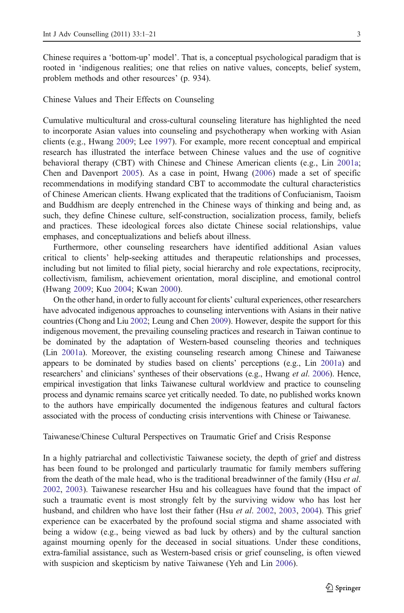Chinese requires a 'bottom-up' model'. That is, a conceptual psychological paradigm that is rooted in 'indigenous realities; one that relies on native values, concepts, belief system, problem methods and other resources' (p. 934).

#### Chinese Values and Their Effects on Counseling

Cumulative multicultural and cross-cultural counseling literature has highlighted the need to incorporate Asian values into counseling and psychotherapy when working with Asian clients (e.g., Hwang [2009](#page-20-0); Lee [1997](#page-20-0)). For example, more recent conceptual and empirical research has illustrated the interface between Chinese values and the use of cognitive behavioral therapy (CBT) with Chinese and Chinese American clients (e.g., Lin [2001a](#page-20-0); Chen and Davenport [2005\)](#page-20-0). As a case in point, Hwang [\(2006](#page-20-0)) made a set of specific recommendations in modifying standard CBT to accommodate the cultural characteristics of Chinese American clients. Hwang explicated that the traditions of Confucianism, Taoism and Buddhism are deeply entrenched in the Chinese ways of thinking and being and, as such, they define Chinese culture, self-construction, socialization process, family, beliefs and practices. These ideological forces also dictate Chinese social relationships, value emphases, and conceptualizations and beliefs about illness.

Furthermore, other counseling researchers have identified additional Asian values critical to clients' help-seeking attitudes and therapeutic relationships and processes, including but not limited to filial piety, social hierarchy and role expectations, reciprocity, collectivism, familism, achievement orientation, moral discipline, and emotional control (Hwang [2009](#page-20-0); Kuo [2004](#page-20-0); Kwan [2000](#page-20-0)).

On the other hand, in order to fully account for clients' cultural experiences, other researchers have advocated indigenous approaches to counseling interventions with Asians in their native countries (Chong and Liu [2002](#page-20-0); Leung and Chen [2009](#page-20-0)). However, despite the support for this indigenous movement, the prevailing counseling practices and research in Taiwan continue to be dominated by the adaptation of Western-based counseling theories and techniques (Lin [2001a\)](#page-20-0). Moreover, the existing counseling research among Chinese and Taiwanese appears to be dominated by studies based on clients' perceptions (e.g., Lin [2001a\)](#page-20-0) and researchers' and clinicians' syntheses of their observations (e.g., Hwang et al. [2006\)](#page-20-0). Hence, empirical investigation that links Taiwanese cultural worldview and practice to counseling process and dynamic remains scarce yet critically needed. To date, no published works known to the authors have empirically documented the indigenous features and cultural factors associated with the process of conducting crisis interventions with Chinese or Taiwanese.

#### Taiwanese/Chinese Cultural Perspectives on Traumatic Grief and Crisis Response

In a highly patriarchal and collectivistic Taiwanese society, the depth of grief and distress has been found to be prolonged and particularly traumatic for family members suffering from the death of the male head, who is the traditional breadwinner of the family (Hsu *et al.*) [2002,](#page-20-0) [2003](#page-20-0)). Taiwanese researcher Hsu and his colleagues have found that the impact of such a traumatic event is most strongly felt by the surviving widow who has lost her husband, and children who have lost their father (Hsu *et al.* [2002](#page-20-0), [2003,](#page-20-0) [2004\)](#page-20-0). This grief experience can be exacerbated by the profound social stigma and shame associated with being a widow (e.g., being viewed as bad luck by others) and by the cultural sanction against mourning openly for the deceased in social situations. Under these conditions, extra-familial assistance, such as Western-based crisis or grief counseling, is often viewed with suspicion and skepticism by native Taiwanese (Yeh and Lin [2006\)](#page-21-0).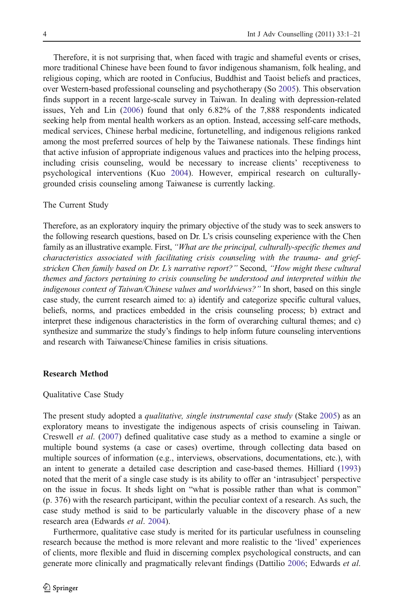Therefore, it is not surprising that, when faced with tragic and shameful events or crises, more traditional Chinese have been found to favor indigenous shamanism, folk healing, and religious coping, which are rooted in Confucius, Buddhist and Taoist beliefs and practices, over Western-based professional counseling and psychotherapy (So [2005\)](#page-21-0). This observation finds support in a recent large-scale survey in Taiwan. In dealing with depression-related issues, Yeh and Lin ([2006\)](#page-21-0) found that only 6.82% of the 7,888 respondents indicated seeking help from mental health workers as an option. Instead, accessing self-care methods, medical services, Chinese herbal medicine, fortunetelling, and indigenous religions ranked among the most preferred sources of help by the Taiwanese nationals. These findings hint that active infusion of appropriate indigenous values and practices into the helping process, including crisis counseling, would be necessary to increase clients' receptiveness to psychological interventions (Kuo [2004](#page-20-0)). However, empirical research on culturallygrounded crisis counseling among Taiwanese is currently lacking.

#### The Current Study

Therefore, as an exploratory inquiry the primary objective of the study was to seek answers to the following research questions, based on Dr. L's crisis counseling experience with the Chen family as an illustrative example. First, "What are the principal, culturally-specific themes and characteristics associated with facilitating crisis counseling with the trauma- and griefstricken Chen family based on Dr. L's narrative report?" Second, "How might these cultural themes and factors pertaining to crisis counseling be understood and interpreted within the indigenous context of Taiwan/Chinese values and worldviews?" In short, based on this single case study, the current research aimed to: a) identify and categorize specific cultural values, beliefs, norms, and practices embedded in the crisis counseling process; b) extract and interpret these indigenous characteristics in the form of overarching cultural themes; and c) synthesize and summarize the study's findings to help inform future counseling interventions and research with Taiwanese/Chinese families in crisis situations.

#### Research Method

#### Qualitative Case Study

The present study adopted a *qualitative, single instrumental case study* (Stake [2005\)](#page-21-0) as an exploratory means to investigate the indigenous aspects of crisis counseling in Taiwan. Creswell et al. [\(2007](#page-20-0)) defined qualitative case study as a method to examine a single or multiple bound systems (a case or cases) overtime, through collecting data based on multiple sources of information (e.g., interviews, observations, documentations, etc.), with an intent to generate a detailed case description and case-based themes. Hilliard ([1993\)](#page-20-0) noted that the merit of a single case study is its ability to offer an 'intrasubject' perspective on the issue in focus. It sheds light on "what is possible rather than what is common" (p. 376) with the research participant, within the peculiar context of a research. As such, the case study method is said to be particularly valuable in the discovery phase of a new research area (Edwards et al. [2004](#page-20-0)).

Furthermore, qualitative case study is merited for its particular usefulness in counseling research because the method is more relevant and more realistic to the 'lived' experiences of clients, more flexible and fluid in discerning complex psychological constructs, and can generate more clinically and pragmatically relevant findings (Dattilio [2006](#page-20-0); Edwards et al.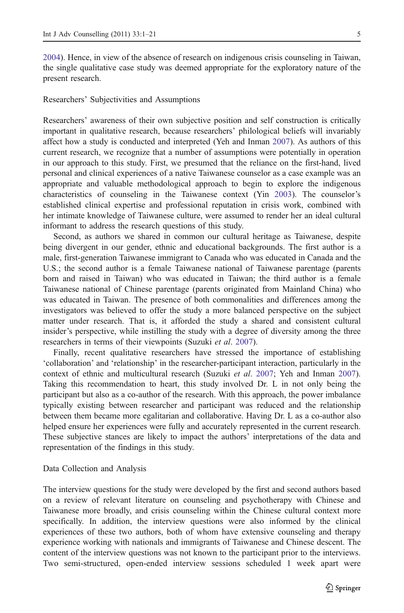[2004\)](#page-20-0). Hence, in view of the absence of research on indigenous crisis counseling in Taiwan, the single qualitative case study was deemed appropriate for the exploratory nature of the present research.

Researchers' Subjectivities and Assumptions

Researchers' awareness of their own subjective position and self construction is critically important in qualitative research, because researchers' philological beliefs will invariably affect how a study is conducted and interpreted (Yeh and Inman [2007\)](#page-21-0). As authors of this current research, we recognize that a number of assumptions were potentially in operation in our approach to this study. First, we presumed that the reliance on the first-hand, lived personal and clinical experiences of a native Taiwanese counselor as a case example was an appropriate and valuable methodological approach to begin to explore the indigenous characteristics of counseling in the Taiwanese context (Yin [2003\)](#page-21-0). The counselor's established clinical expertise and professional reputation in crisis work, combined with her intimate knowledge of Taiwanese culture, were assumed to render her an ideal cultural informant to address the research questions of this study.

Second, as authors we shared in common our cultural heritage as Taiwanese, despite being divergent in our gender, ethnic and educational backgrounds. The first author is a male, first-generation Taiwanese immigrant to Canada who was educated in Canada and the U.S.; the second author is a female Taiwanese national of Taiwanese parentage (parents born and raised in Taiwan) who was educated in Taiwan; the third author is a female Taiwanese national of Chinese parentage (parents originated from Mainland China) who was educated in Taiwan. The presence of both commonalities and differences among the investigators was believed to offer the study a more balanced perspective on the subject matter under research. That is, it afforded the study a shared and consistent cultural insider's perspective, while instilling the study with a degree of diversity among the three researchers in terms of their viewpoints (Suzuki et al. [2007](#page-21-0)).

Finally, recent qualitative researchers have stressed the importance of establishing 'collaboration' and 'relationship' in the researcher-participant interaction, particularly in the context of ethnic and multicultural research (Suzuki et al. [2007;](#page-21-0) Yeh and Inman [2007](#page-21-0)). Taking this recommendation to heart, this study involved Dr. L in not only being the participant but also as a co-author of the research. With this approach, the power imbalance typically existing between researcher and participant was reduced and the relationship between them became more egalitarian and collaborative. Having Dr. L as a co-author also helped ensure her experiences were fully and accurately represented in the current research. These subjective stances are likely to impact the authors' interpretations of the data and representation of the findings in this study.

#### Data Collection and Analysis

The interview questions for the study were developed by the first and second authors based on a review of relevant literature on counseling and psychotherapy with Chinese and Taiwanese more broadly, and crisis counseling within the Chinese cultural context more specifically. In addition, the interview questions were also informed by the clinical experiences of these two authors, both of whom have extensive counseling and therapy experience working with nationals and immigrants of Taiwanese and Chinese descent. The content of the interview questions was not known to the participant prior to the interviews. Two semi-structured, open-ended interview sessions scheduled 1 week apart were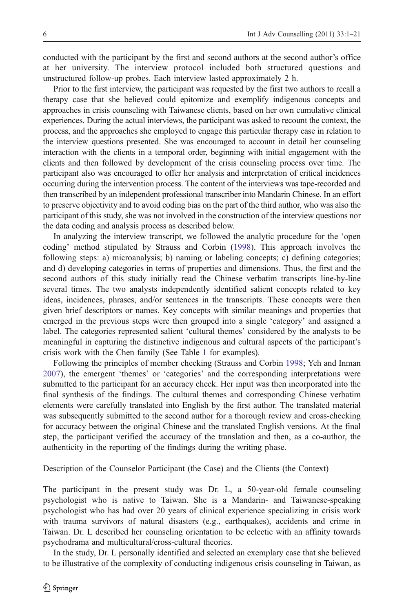conducted with the participant by the first and second authors at the second author's office at her university. The interview protocol included both structured questions and unstructured follow-up probes. Each interview lasted approximately 2 h.

Prior to the first interview, the participant was requested by the first two authors to recall a therapy case that she believed could epitomize and exemplify indigenous concepts and approaches in crisis counseling with Taiwanese clients, based on her own cumulative clinical experiences. During the actual interviews, the participant was asked to recount the context, the process, and the approaches she employed to engage this particular therapy case in relation to the interview questions presented. She was encouraged to account in detail her counseling interaction with the clients in a temporal order, beginning with initial engagement with the clients and then followed by development of the crisis counseling process over time. The participant also was encouraged to offer her analysis and interpretation of critical incidences occurring during the intervention process. The content of the interviews was tape-recorded and then transcribed by an independent professional transcriber into Mandarin Chinese. In an effort to preserve objectivity and to avoid coding bias on the part of the third author, who was also the participant of this study, she was not involved in the construction of the interview questions nor the data coding and analysis process as described below.

In analyzing the interview transcript, we followed the analytic procedure for the 'open coding' method stipulated by Strauss and Corbin [\(1998\)](#page-21-0). This approach involves the following steps: a) microanalysis; b) naming or labeling concepts; c) defining categories; and d) developing categories in terms of properties and dimensions. Thus, the first and the second authors of this study initially read the Chinese verbatim transcripts line-by-line several times. The two analysts independently identified salient concepts related to key ideas, incidences, phrases, and/or sentences in the transcripts. These concepts were then given brief descriptors or names. Key concepts with similar meanings and properties that emerged in the previous steps were then grouped into a single 'category' and assigned a label. The categories represented salient 'cultural themes' considered by the analysts to be meaningful in capturing the distinctive indigenous and cultural aspects of the participant's crisis work with the Chen family (See Table [1](#page-8-0) for examples).

Following the principles of member checking (Strauss and Corbin [1998;](#page-21-0) Yeh and Inman [2007\)](#page-21-0), the emergent 'themes' or 'categories' and the corresponding interpretations were submitted to the participant for an accuracy check. Her input was then incorporated into the final synthesis of the findings. The cultural themes and corresponding Chinese verbatim elements were carefully translated into English by the first author. The translated material was subsequently submitted to the second author for a thorough review and cross-checking for accuracy between the original Chinese and the translated English versions. At the final step, the participant verified the accuracy of the translation and then, as a co-author, the authenticity in the reporting of the findings during the writing phase.

Description of the Counselor Participant (the Case) and the Clients (the Context)

The participant in the present study was Dr. L, a 50-year-old female counseling psychologist who is native to Taiwan. She is a Mandarin- and Taiwanese-speaking psychologist who has had over 20 years of clinical experience specializing in crisis work with trauma survivors of natural disasters (e.g., earthquakes), accidents and crime in Taiwan. Dr. L described her counseling orientation to be eclectic with an affinity towards psychodrama and multicultural/cross-cultural theories.

In the study, Dr. L personally identified and selected an exemplary case that she believed to be illustrative of the complexity of conducting indigenous crisis counseling in Taiwan, as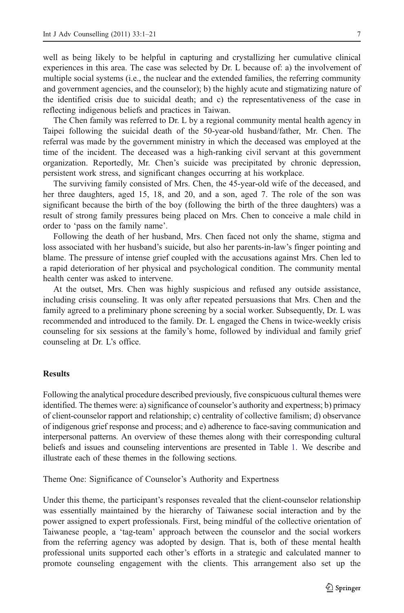well as being likely to be helpful in capturing and crystallizing her cumulative clinical experiences in this area. The case was selected by Dr. L because of: a) the involvement of multiple social systems (i.e., the nuclear and the extended families, the referring community and government agencies, and the counselor); b) the highly acute and stigmatizing nature of the identified crisis due to suicidal death; and c) the representativeness of the case in reflecting indigenous beliefs and practices in Taiwan.

The Chen family was referred to Dr. L by a regional community mental health agency in Taipei following the suicidal death of the 50-year-old husband/father, Mr. Chen. The referral was made by the government ministry in which the deceased was employed at the time of the incident. The deceased was a high-ranking civil servant at this government organization. Reportedly, Mr. Chen's suicide was precipitated by chronic depression, persistent work stress, and significant changes occurring at his workplace.

The surviving family consisted of Mrs. Chen, the 45-year-old wife of the deceased, and her three daughters, aged 15, 18, and 20, and a son, aged 7. The role of the son was significant because the birth of the boy (following the birth of the three daughters) was a result of strong family pressures being placed on Mrs. Chen to conceive a male child in order to 'pass on the family name'.

Following the death of her husband, Mrs. Chen faced not only the shame, stigma and loss associated with her husband's suicide, but also her parents-in-law's finger pointing and blame. The pressure of intense grief coupled with the accusations against Mrs. Chen led to a rapid deterioration of her physical and psychological condition. The community mental health center was asked to intervene.

At the outset, Mrs. Chen was highly suspicious and refused any outside assistance, including crisis counseling. It was only after repeated persuasions that Mrs. Chen and the family agreed to a preliminary phone screening by a social worker. Subsequently, Dr. L was recommended and introduced to the family. Dr. L engaged the Chens in twice-weekly crisis counseling for six sessions at the family's home, followed by individual and family grief counseling at Dr. L's office.

#### **Results**

Following the analytical procedure described previously, five conspicuous cultural themes were identified. The themes were: a) significance of counselor's authority and expertness; b) primacy of client-counselor rapport and relationship; c) centrality of collective familism; d) observance of indigenous grief response and process; and e) adherence to face-saving communication and interpersonal patterns. An overview of these themes along with their corresponding cultural beliefs and issues and counseling interventions are presented in Table [1.](#page-8-0) We describe and illustrate each of these themes in the following sections.

Theme One: Significance of Counselor's Authority and Expertness

Under this theme, the participant's responses revealed that the client-counselor relationship was essentially maintained by the hierarchy of Taiwanese social interaction and by the power assigned to expert professionals. First, being mindful of the collective orientation of Taiwanese people, a 'tag-team' approach between the counselor and the social workers from the referring agency was adopted by design. That is, both of these mental health professional units supported each other's efforts in a strategic and calculated manner to promote counseling engagement with the clients. This arrangement also set up the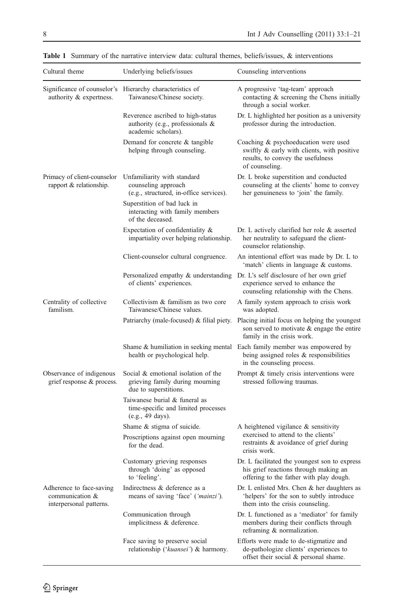| Cultural theme                                                         | Underlying beliefs/issues                                                                       | Counseling interventions                                                                                                                                            |
|------------------------------------------------------------------------|-------------------------------------------------------------------------------------------------|---------------------------------------------------------------------------------------------------------------------------------------------------------------------|
| authority & expertness.                                                | Significance of counselor's Hierarchy characteristics of<br>Taiwanese/Chinese society.          | A progressive 'tag-team' approach<br>contacting $&$ screening the Chens initially<br>through a social worker.                                                       |
|                                                                        | Reverence ascribed to high-status<br>authority (e.g., professionals &<br>academic scholars).    | Dr. L highlighted her position as a university<br>professor during the introduction.                                                                                |
|                                                                        | Demand for concrete & tangible<br>helping through counseling.                                   | Coaching & psychoeducation were used<br>swiftly & early with clients, with positive<br>results, to convey the usefulness<br>of counseling.                          |
| Primacy of client-counselor<br>rapport & relationship.                 | Unfamiliarity with standard<br>counseling approach<br>(e.g., structured, in-office services).   | Dr. L broke superstition and conducted<br>counseling at the clients' home to convey<br>her genuineness to 'join' the family.                                        |
|                                                                        | Superstition of bad luck in<br>interacting with family members<br>of the deceased.              |                                                                                                                                                                     |
|                                                                        | Expectation of confidentiality $\&$<br>impartiality over helping relationship.                  | Dr. L actively clarified her role & asserted<br>her neutrality to safeguard the client-<br>counselor relationship.                                                  |
|                                                                        | Client-counselor cultural congruence.                                                           | An intentional effort was made by Dr. L to<br>'match' clients in language & customs.                                                                                |
|                                                                        | Personalized empathy & understanding<br>of clients' experiences.                                | Dr. L's self disclosure of her own grief<br>experience served to enhance the<br>counseling relationship with the Chens.                                             |
| Centrality of collective<br>familism.                                  | Collectivism & familism as two core<br>Taiwanese/Chinese values.                                | A family system approach to crisis work<br>was adopted.                                                                                                             |
|                                                                        |                                                                                                 | Patriarchy (male-focused) & filial piety. Placing initial focus on helping the youngest<br>son served to motivate & engage the entire<br>family in the crisis work. |
|                                                                        | health or psychological help.                                                                   | Shame & humiliation in seeking mental Each family member was empowered by<br>being assigned roles $\&$ responsibilities<br>in the counseling process.               |
| Observance of indigenous<br>grief response & process.                  | Social & emotional isolation of the<br>grieving family during mourning<br>due to superstitions. | Prompt & timely crisis interventions were<br>stressed following traumas.                                                                                            |
|                                                                        | Taiwanese burial & funeral as<br>time-specific and limited processes<br>(e.g., 49 days).        |                                                                                                                                                                     |
|                                                                        | Shame & stigma of suicide.                                                                      | A heightened vigilance & sensitivity                                                                                                                                |
|                                                                        | Proscriptions against open mourning<br>for the dead.                                            | exercised to attend to the clients'<br>restraints & avoidance of grief during<br>crisis work.                                                                       |
|                                                                        | Customary grieving responses<br>through 'doing' as opposed<br>to 'feeling'.                     | Dr. L facilitated the youngest son to express<br>his grief reactions through making an<br>offering to the father with play dough.                                   |
| Adherence to face-saving<br>communication &<br>interpersonal patterns. | Indirectness & deference as a<br>means of saving 'face' ('mainzi').                             | Dr. L enlisted Mrs. Chen $\&$ her daughters as<br>'helpers' for the son to subtly introduce<br>them into the crisis counseling.                                     |
|                                                                        | Communication through<br>implicitness & deference.                                              | Dr. L functioned as a 'mediator' for family<br>members during their conflicts through<br>reframing & normalization.                                                 |
|                                                                        | Face saving to preserve social<br>relationship ('kuansei') & harmony.                           | Efforts were made to de-stigmatize and<br>de-pathologize clients' experiences to<br>offset their social & personal shame.                                           |

<span id="page-8-0"></span>Table 1 Summary of the narrative interview data: cultural themes, beliefs/issues, & interventions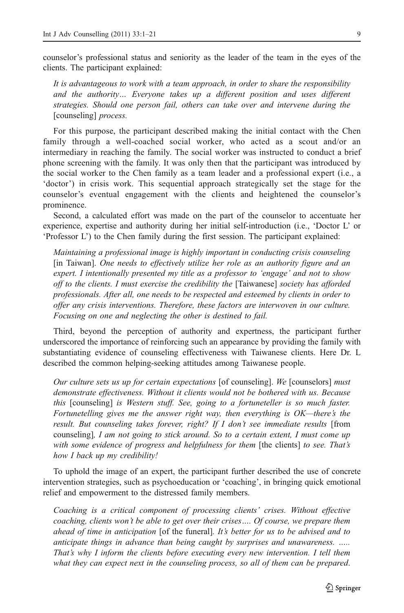counselor's professional status and seniority as the leader of the team in the eyes of the clients. The participant explained:

It is advantageous to work with a team approach, in order to share the responsibility and the authority… Everyone takes up a different position and uses different strategies. Should one person fail, others can take over and intervene during the [counseling] *process*.

For this purpose, the participant described making the initial contact with the Chen family through a well-coached social worker, who acted as a scout and/or an intermediary in reaching the family. The social worker was instructed to conduct a brief phone screening with the family. It was only then that the participant was introduced by the social worker to the Chen family as a team leader and a professional expert (i.e., a 'doctor') in crisis work. This sequential approach strategically set the stage for the counselor's eventual engagement with the clients and heightened the counselor's prominence.

Second, a calculated effort was made on the part of the counselor to accentuate her experience, expertise and authority during her initial self-introduction (i.e., 'Doctor L' or 'Professor L') to the Chen family during the first session. The participant explained:

Maintaining a professional image is highly important in conducting crisis counseling [in Taiwan]. One needs to effectively utilize her role as an authority figure and an expert. I intentionally presented my title as a professor to 'engage' and not to show off to the clients. I must exercise the credibility the [Taiwanese] society has afforded professionals. After all, one needs to be respected and esteemed by clients in order to offer any crisis interventions. Therefore, these factors are interwoven in our culture. Focusing on one and neglecting the other is destined to fail.

Third, beyond the perception of authority and expertness, the participant further underscored the importance of reinforcing such an appearance by providing the family with substantiating evidence of counseling effectiveness with Taiwanese clients. Here Dr. L described the common helping-seeking attitudes among Taiwanese people.

Our culture sets us up for certain expectations [of counseling]. We [counselors] must demonstrate effectiveness. Without it clients would not be bothered with us. Because this [counseling] is Western stuff. See, going to a fortuneteller is so much faster. Fortunetelling gives me the answer right way, then everything is OK—there's the result. But counseling takes forever, right? If I don't see immediate results [from counseling], I am not going to stick around. So to a certain extent, I must come up with some evidence of progress and helpfulness for them [the clients] to see. That's how I back up my credibility!

To uphold the image of an expert, the participant further described the use of concrete intervention strategies, such as psychoeducation or 'coaching', in bringing quick emotional relief and empowerment to the distressed family members.

Coaching is a critical component of processing clients' crises. Without effective coaching, clients won't be able to get over their crises…. Of course, we prepare them ahead of time in anticipation [of the funeral]. It's better for us to be advised and to anticipate things in advance than being caught by surprises and unawareness. ….. That's why I inform the clients before executing every new intervention. I tell them what they can expect next in the counseling process, so all of them can be prepared.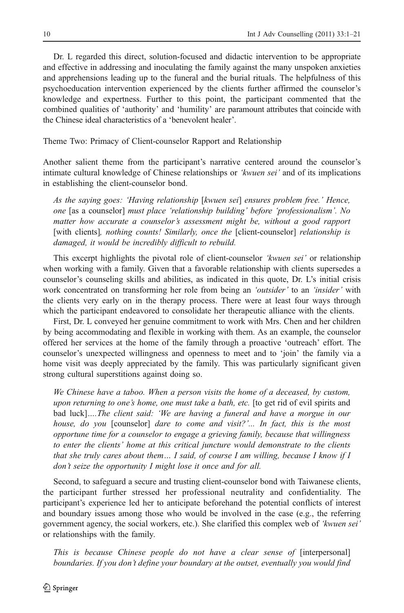Dr. L regarded this direct, solution-focused and didactic intervention to be appropriate and effective in addressing and inoculating the family against the many unspoken anxieties and apprehensions leading up to the funeral and the burial rituals. The helpfulness of this psychoeducation intervention experienced by the clients further affirmed the counselor's knowledge and expertness. Further to this point, the participant commented that the combined qualities of 'authority' and 'humility' are paramount attributes that coincide with the Chinese ideal characteristics of a 'benevolent healer'.

Theme Two: Primacy of Client-counselor Rapport and Relationship

Another salient theme from the participant's narrative centered around the counselor's intimate cultural knowledge of Chinese relationships or 'kwuen sei' and of its implications in establishing the client-counselor bond.

As the saying goes: 'Having relationship [kwuen sei] ensures problem free.' Hence, one [as a counselor] must place 'relationship building' before 'professionalism'. No matter how accurate a counselor's assessment might be, without a good rapport [with clients], nothing counts! Similarly, once the [client-counselor] relationship is damaged, it would be incredibly difficult to rebuild.

This excerpt highlights the pivotal role of client-counselor 'kwuen sei' or relationship when working with a family. Given that a favorable relationship with clients supersedes a counselor's counseling skills and abilities, as indicated in this quote, Dr. L's initial crisis work concentrated on transforming her role from being an 'outsider' to an 'insider' with the clients very early on in the therapy process. There were at least four ways through which the participant endeavored to consolidate her therapeutic alliance with the clients.

First, Dr. L conveyed her genuine commitment to work with Mrs. Chen and her children by being accommodating and flexible in working with them. As an example, the counselor offered her services at the home of the family through a proactive 'outreach' effort. The counselor's unexpected willingness and openness to meet and to 'join' the family via a home visit was deeply appreciated by the family. This was particularly significant given strong cultural superstitions against doing so.

We Chinese have a taboo. When a person visits the home of a deceased, by custom, upon returning to one's home, one must take a bath, etc. [to get rid of evil spirits and bad luck]....The client said: 'We are having a funeral and have a morgue in our house, do you [counselor] dare to come and visit?'... In fact, this is the most opportune time for a counselor to engage a grieving family, because that willingness to enter the clients' home at this critical juncture would demonstrate to the clients that she truly cares about them... I said, of course I am willing, because I know if I don't seize the opportunity I might lose it once and for all.

Second, to safeguard a secure and trusting client-counselor bond with Taiwanese clients, the participant further stressed her professional neutrality and confidentiality. The participant's experience led her to anticipate beforehand the potential conflicts of interest and boundary issues among those who would be involved in the case (e.g., the referring government agency, the social workers, etc.). She clarified this complex web of 'kwuen sei' or relationships with the family.

This is because Chinese people do not have a clear sense of [interpersonal] boundaries. If you don't define your boundary at the outset, eventually you would find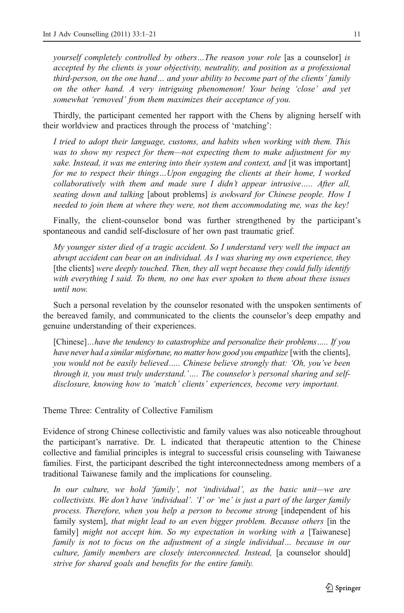yourself completely controlled by others…The reason your role [as a counselor] is accepted by the clients is your objectivity, neutrality, and position as a professional third-person, on the one hand… and your ability to become part of the clients' family on the other hand. A very intriguing phenomenon! Your being 'close' and yet somewhat 'removed' from them maximizes their acceptance of you.

Thirdly, the participant cemented her rapport with the Chens by aligning herself with their worldview and practices through the process of 'matching':

I tried to adopt their language, customs, and habits when working with them. This was to show my respect for them—not expecting them to make adjustment for my sake. Instead, it was me entering into their system and context, and [it was important] for me to respect their things…Upon engaging the clients at their home, I worked collaboratively with them and made sure I didn't appear intrusive….. After all, seating down and talking [about problems] is awkward for Chinese people. How I needed to join them at where they were, not them accommodating me, was the key!

Finally, the client-counselor bond was further strengthened by the participant's spontaneous and candid self-disclosure of her own past traumatic grief.

My younger sister died of a tragic accident. So I understand very well the impact an abrupt accident can bear on an individual. As I was sharing my own experience, they [the clients] were deeply touched. Then, they all wept because they could fully identify with everything I said. To them, no one has ever spoken to them about these issues until now.

Such a personal revelation by the counselor resonated with the unspoken sentiments of the bereaved family, and communicated to the clients the counselor's deep empathy and genuine understanding of their experiences.

[Chinese]…have the tendency to catastrophize and personalize their problems….. If you have never had a similar misfortune, no matter how good you empathize [with the clients], you would not be easily believed….. Chinese believe strongly that: 'Oh, you've been through it, you must truly understand.'…. The counselor's personal sharing and selfdisclosure, knowing how to 'match' clients' experiences, become very important.

Theme Three: Centrality of Collective Familism

Evidence of strong Chinese collectivistic and family values was also noticeable throughout the participant's narrative. Dr. L indicated that therapeutic attention to the Chinese collective and familial principles is integral to successful crisis counseling with Taiwanese families. First, the participant described the tight interconnectedness among members of a traditional Taiwanese family and the implications for counseling.

In our culture, we hold 'family', not 'individual', as the basic unit—we are collectivists. We don't have 'individual'. 'I' or 'me' is just a part of the larger family process. Therefore, when you help a person to become strong [independent of his family system], that might lead to an even bigger problem. Because others [in the family] might not accept him. So my expectation in working with a [Taiwanese] family is not to focus on the adjustment of a single individual… because in our culture, family members are closely interconnected. Instead, [a counselor should] strive for shared goals and benefits for the entire family.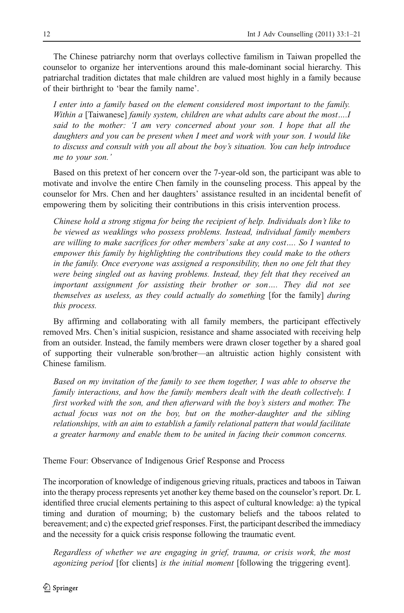The Chinese patriarchy norm that overlays collective familism in Taiwan propelled the counselor to organize her interventions around this male-dominant social hierarchy. This patriarchal tradition dictates that male children are valued most highly in a family because of their birthright to 'bear the family name'.

I enter into a family based on the element considered most important to the family. Within a [Taiwanese] family system, children are what adults care about the most.... said to the mother: 'I am very concerned about your son. I hope that all the daughters and you can be present when I meet and work with your son. I would like to discuss and consult with you all about the boy's situation. You can help introduce me to your son.'

Based on this pretext of her concern over the 7-year-old son, the participant was able to motivate and involve the entire Chen family in the counseling process. This appeal by the counselor for Mrs. Chen and her daughters' assistance resulted in an incidental benefit of empowering them by soliciting their contributions in this crisis intervention process.

Chinese hold a strong stigma for being the recipient of help. Individuals don't like to be viewed as weaklings who possess problems. Instead, individual family members are willing to make sacrifices for other members' sake at any cost…. So I wanted to empower this family by highlighting the contributions they could make to the others in the family. Once everyone was assigned a responsibility, then no one felt that they were being singled out as having problems. Instead, they felt that they received an important assignment for assisting their brother or son…. They did not see themselves as useless, as they could actually do something [for the family] during this process.

By affirming and collaborating with all family members, the participant effectively removed Mrs. Chen's initial suspicion, resistance and shame associated with receiving help from an outsider. Instead, the family members were drawn closer together by a shared goal of supporting their vulnerable son/brother—an altruistic action highly consistent with Chinese familism.

Based on my invitation of the family to see them together, I was able to observe the family interactions, and how the family members dealt with the death collectively. I first worked with the son, and then afterward with the boy's sisters and mother. The actual focus was not on the boy, but on the mother-daughter and the sibling relationships, with an aim to establish a family relational pattern that would facilitate a greater harmony and enable them to be united in facing their common concerns.

Theme Four: Observance of Indigenous Grief Response and Process

The incorporation of knowledge of indigenous grieving rituals, practices and taboos in Taiwan into the therapy process represents yet another key theme based on the counselor's report. Dr. L identified three crucial elements pertaining to this aspect of cultural knowledge: a) the typical timing and duration of mourning; b) the customary beliefs and the taboos related to bereavement; and c) the expected grief responses. First, the participant described the immediacy and the necessity for a quick crisis response following the traumatic event.

Regardless of whether we are engaging in grief, trauma, or crisis work, the most agonizing period [for clients] is the initial moment [following the triggering event].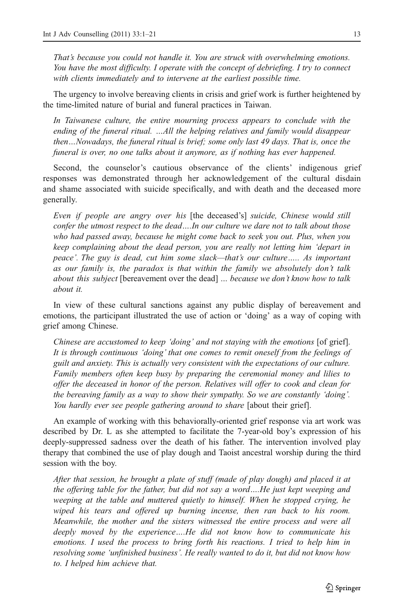That's because you could not handle it. You are struck with overwhelming emotions. You have the most difficulty. I operate with the concept of debriefing. I try to connect with clients immediately and to intervene at the earliest possible time.

The urgency to involve bereaving clients in crisis and grief work is further heightened by the time-limited nature of burial and funeral practices in Taiwan.

In Taiwanese culture, the entire mourning process appears to conclude with the ending of the funeral ritual. …All the helping relatives and family would disappear then…Nowadays, the funeral ritual is brief; some only last 49 days. That is, once the funeral is over, no one talks about it anymore, as if nothing has ever happened.

Second, the counselor's cautious observance of the clients' indigenous grief responses was demonstrated through her acknowledgement of the cultural disdain and shame associated with suicide specifically, and with death and the deceased more generally.

Even if people are angry over his [the deceased's] suicide, Chinese would still confer the utmost respect to the dead….In our culture we dare not to talk about those who had passed away, because he might come back to seek you out. Plus, when you keep complaining about the dead person, you are really not letting him 'depart in peace'. The guy is dead, cut him some slack—that's our culture….. As important as our family is, the paradox is that within the family we absolutely don't talk about this subject [bereavement over the dead] … because we don't know how to talk about it.

In view of these cultural sanctions against any public display of bereavement and emotions, the participant illustrated the use of action or 'doing' as a way of coping with grief among Chinese.

Chinese are accustomed to keep 'doing' and not staying with the emotions [of grief]. It is through continuous 'doing' that one comes to remit oneself from the feelings of guilt and anxiety. This is actually very consistent with the expectations of our culture. Family members often keep busy by preparing the ceremonial money and lilies to offer the deceased in honor of the person. Relatives will offer to cook and clean for the bereaving family as a way to show their sympathy. So we are constantly 'doing'. You hardly ever see people gathering around to share [about their grief].

An example of working with this behaviorally-oriented grief response via art work was described by Dr. L as she attempted to facilitate the 7-year-old boy's expression of his deeply-suppressed sadness over the death of his father. The intervention involved play therapy that combined the use of play dough and Taoist ancestral worship during the third session with the boy.

After that session, he brought a plate of stuff (made of play dough) and placed it at the offering table for the father, but did not say a word….He just kept weeping and weeping at the table and muttered quietly to himself. When he stopped crying, he wiped his tears and offered up burning incense, then ran back to his room. Meanwhile, the mother and the sisters witnessed the entire process and were all deeply moved by the experience….He did not know how to communicate his emotions. I used the process to bring forth his reactions. I tried to help him in resolving some 'unfinished business'. He really wanted to do it, but did not know how to. I helped him achieve that.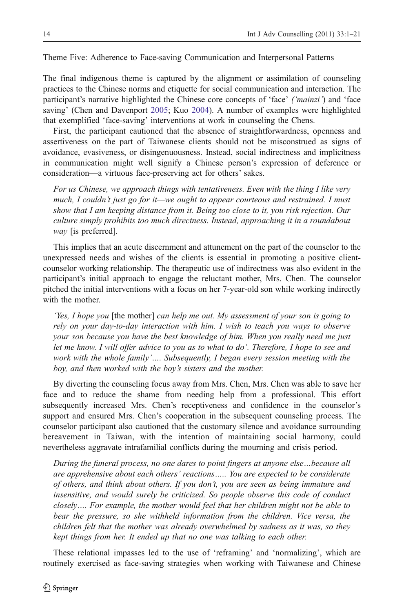#### Theme Five: Adherence to Face-saving Communication and Interpersonal Patterns

The final indigenous theme is captured by the alignment or assimilation of counseling practices to the Chinese norms and etiquette for social communication and interaction. The participant's narrative highlighted the Chinese core concepts of 'face' ('mainzi') and 'face saving' (Chen and Davenport [2005;](#page-20-0) Kuo [2004](#page-20-0)). A number of examples were highlighted that exemplified 'face-saving' interventions at work in counseling the Chens.

First, the participant cautioned that the absence of straightforwardness, openness and assertiveness on the part of Taiwanese clients should not be misconstrued as signs of avoidance, evasiveness, or disingenuousness. Instead, social indirectness and implicitness in communication might well signify a Chinese person's expression of deference or consideration—a virtuous face-preserving act for others' sakes.

For us Chinese, we approach things with tentativeness. Even with the thing I like very much, I couldn't just go for it—we ought to appear courteous and restrained. I must show that I am keeping distance from it. Being too close to it, you risk rejection. Our culture simply prohibits too much directness. Instead, approaching it in a roundabout way [is preferred].

This implies that an acute discernment and attunement on the part of the counselor to the unexpressed needs and wishes of the clients is essential in promoting a positive clientcounselor working relationship. The therapeutic use of indirectness was also evident in the participant's initial approach to engage the reluctant mother, Mrs. Chen. The counselor pitched the initial interventions with a focus on her 7-year-old son while working indirectly with the mother.

'Yes, I hope you [the mother] can help me out. My assessment of your son is going to rely on your day-to-day interaction with him. I wish to teach you ways to observe your son because you have the best knowledge of him. When you really need me just let me know. I will offer advice to you as to what to do'. Therefore, I hope to see and work with the whole family'…. Subsequently, I began every session meeting with the boy, and then worked with the boy's sisters and the mother.

By diverting the counseling focus away from Mrs. Chen, Mrs. Chen was able to save her face and to reduce the shame from needing help from a professional. This effort subsequently increased Mrs. Chen's receptiveness and confidence in the counselor's support and ensured Mrs. Chen's cooperation in the subsequent counseling process. The counselor participant also cautioned that the customary silence and avoidance surrounding bereavement in Taiwan, with the intention of maintaining social harmony, could nevertheless aggravate intrafamilial conflicts during the mourning and crisis period.

During the funeral process, no one dares to point fingers at anyone else…because all are apprehensive about each others' reactions….. You are expected to be considerate of others, and think about others. If you don't, you are seen as being immature and insensitive, and would surely be criticized. So people observe this code of conduct closely…. For example, the mother would feel that her children might not be able to bear the pressure, so she withheld information from the children. Vice versa, the children felt that the mother was already overwhelmed by sadness as it was, so they kept things from her. It ended up that no one was talking to each other.

These relational impasses led to the use of 'reframing' and 'normalizing', which are routinely exercised as face-saving strategies when working with Taiwanese and Chinese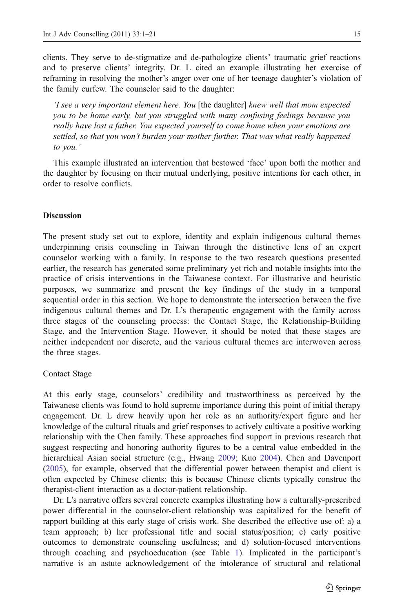clients. They serve to de-stigmatize and de-pathologize clients' traumatic grief reactions and to preserve clients' integrity. Dr. L cited an example illustrating her exercise of reframing in resolving the mother's anger over one of her teenage daughter's violation of the family curfew. The counselor said to the daughter:

'I see a very important element here. You [the daughter] knew well that mom expected you to be home early, but you struggled with many confusing feelings because you really have lost a father. You expected yourself to come home when your emotions are settled, so that you won't burden your mother further. That was what really happened to you.'

This example illustrated an intervention that bestowed 'face' upon both the mother and the daughter by focusing on their mutual underlying, positive intentions for each other, in order to resolve conflicts.

#### Discussion

The present study set out to explore, identity and explain indigenous cultural themes underpinning crisis counseling in Taiwan through the distinctive lens of an expert counselor working with a family. In response to the two research questions presented earlier, the research has generated some preliminary yet rich and notable insights into the practice of crisis interventions in the Taiwanese context. For illustrative and heuristic purposes, we summarize and present the key findings of the study in a temporal sequential order in this section. We hope to demonstrate the intersection between the five indigenous cultural themes and Dr. L's therapeutic engagement with the family across three stages of the counseling process: the Contact Stage, the Relationship-Building Stage, and the Intervention Stage. However, it should be noted that these stages are neither independent nor discrete, and the various cultural themes are interwoven across the three stages.

#### Contact Stage

At this early stage, counselors' credibility and trustworthiness as perceived by the Taiwanese clients was found to hold supreme importance during this point of initial therapy engagement. Dr. L drew heavily upon her role as an authority/expert figure and her knowledge of the cultural rituals and grief responses to actively cultivate a positive working relationship with the Chen family. These approaches find support in previous research that suggest respecting and honoring authority figures to be a central value embedded in the hierarchical Asian social structure (e.g., Hwang [2009](#page-20-0); Kuo [2004](#page-20-0)). Chen and Davenport ([2005\)](#page-20-0), for example, observed that the differential power between therapist and client is often expected by Chinese clients; this is because Chinese clients typically construe the therapist-client interaction as a doctor-patient relationship.

Dr. L's narrative offers several concrete examples illustrating how a culturally-prescribed power differential in the counselor-client relationship was capitalized for the benefit of rapport building at this early stage of crisis work. She described the effective use of: a) a team approach; b) her professional title and social status/position; c) early positive outcomes to demonstrate counseling usefulness; and d) solution-focused interventions through coaching and psychoeducation (see Table [1](#page-8-0)). Implicated in the participant's narrative is an astute acknowledgement of the intolerance of structural and relational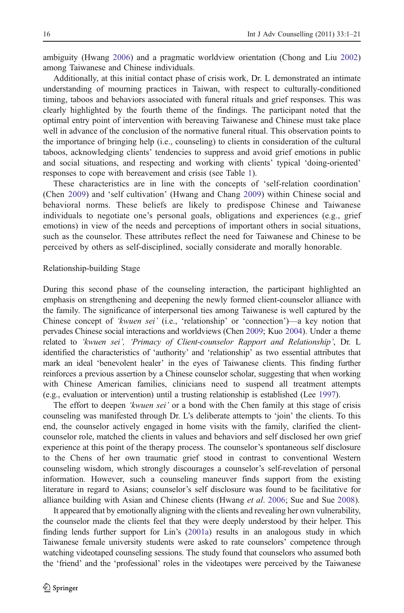ambiguity (Hwang [2006\)](#page-20-0) and a pragmatic worldview orientation (Chong and Liu [2002\)](#page-20-0) among Taiwanese and Chinese individuals.

Additionally, at this initial contact phase of crisis work, Dr. L demonstrated an intimate understanding of mourning practices in Taiwan, with respect to culturally-conditioned timing, taboos and behaviors associated with funeral rituals and grief responses. This was clearly highlighted by the fourth theme of the findings. The participant noted that the optimal entry point of intervention with bereaving Taiwanese and Chinese must take place well in advance of the conclusion of the normative funeral ritual. This observation points to the importance of bringing help (i.e., counseling) to clients in consideration of the cultural taboos, acknowledging clients' tendencies to suppress and avoid grief emotions in public and social situations, and respecting and working with clients' typical 'doing-oriented' responses to cope with bereavement and crisis (see Table [1](#page-8-0)).

These characteristics are in line with the concepts of 'self-relation coordination' (Chen [2009\)](#page-20-0) and 'self cultivation' (Hwang and Chang [2009](#page-20-0)) within Chinese social and behavioral norms. These beliefs are likely to predispose Chinese and Taiwanese individuals to negotiate one's personal goals, obligations and experiences (e.g., grief emotions) in view of the needs and perceptions of important others in social situations, such as the counselor. These attributes reflect the need for Taiwanese and Chinese to be perceived by others as self-disciplined, socially considerate and morally honorable.

#### Relationship-building Stage

During this second phase of the counseling interaction, the participant highlighted an emphasis on strengthening and deepening the newly formed client-counselor alliance with the family. The significance of interpersonal ties among Taiwanese is well captured by the Chinese concept of 'kwuen sei' (i.e., 'relationship' or 'connection')—a key notion that pervades Chinese social interactions and worldviews (Chen [2009](#page-20-0); Kuo [2004](#page-20-0)). Under a theme related to 'kwuen sei', 'Primacy of Client-counselor Rapport and Relationship', Dr. L identified the characteristics of 'authority' and 'relationship' as two essential attributes that mark an ideal 'benevolent healer' in the eyes of Taiwanese clients. This finding further reinforces a previous assertion by a Chinese counselor scholar, suggesting that when working with Chinese American families, clinicians need to suspend all treatment attempts (e.g., evaluation or intervention) until a trusting relationship is established (Lee [1997](#page-20-0)).

The effort to deepen 'kwuen sei' or a bond with the Chen family at this stage of crisis counseling was manifested through Dr. L's deliberate attempts to 'join' the clients. To this end, the counselor actively engaged in home visits with the family, clarified the clientcounselor role, matched the clients in values and behaviors and self disclosed her own grief experience at this point of the therapy process. The counselor's spontaneous self disclosure to the Chens of her own traumatic grief stood in contrast to conventional Western counseling wisdom, which strongly discourages a counselor's self-revelation of personal information. However, such a counseling maneuver finds support from the existing literature in regard to Asians; counselor's self disclosure was found to be facilitative for alliance building with Asian and Chinese clients (Hwang *et al.* [2006;](#page-20-0) Sue and Sue [2008](#page-21-0)).

It appeared that by emotionally aligning with the clients and revealing her own vulnerability, the counselor made the clients feel that they were deeply understood by their helper. This finding lends further support for Lin's ([2001a](#page-20-0)) results in an analogous study in which Taiwanese female university students were asked to rate counselors' competence through watching videotaped counseling sessions. The study found that counselors who assumed both the 'friend' and the 'professional' roles in the videotapes were perceived by the Taiwanese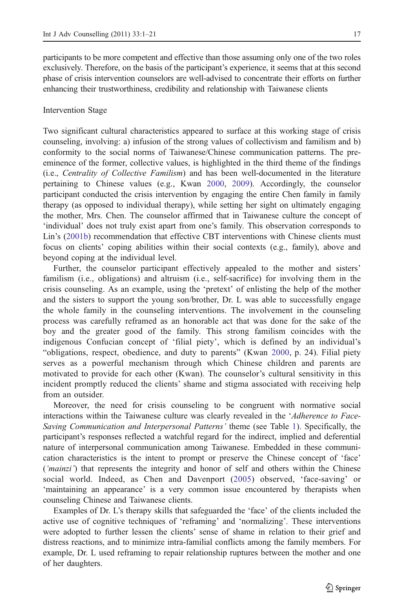participants to be more competent and effective than those assuming only one of the two roles exclusively. Therefore, on the basis of the participant's experience, it seems that at this second phase of crisis intervention counselors are well-advised to concentrate their efforts on further enhancing their trustworthiness, credibility and relationship with Taiwanese clients

#### Intervention Stage

Two significant cultural characteristics appeared to surface at this working stage of crisis counseling, involving: a) infusion of the strong values of collectivism and familism and b) conformity to the social norms of Taiwanese/Chinese communication patterns. The preeminence of the former, collective values, is highlighted in the third theme of the findings (i.e., Centrality of Collective Familism) and has been well-documented in the literature pertaining to Chinese values (e.g., Kwan [2000](#page-20-0), [2009\)](#page-20-0). Accordingly, the counselor participant conducted the crisis intervention by engaging the entire Chen family in family therapy (as opposed to individual therapy), while setting her sight on ultimately engaging the mother, Mrs. Chen. The counselor affirmed that in Taiwanese culture the concept of 'individual' does not truly exist apart from one's family. This observation corresponds to Lin's [\(2001b\)](#page-20-0) recommendation that effective CBT interventions with Chinese clients must focus on clients' coping abilities within their social contexts (e.g., family), above and beyond coping at the individual level.

Further, the counselor participant effectively appealed to the mother and sisters' familism (i.e., obligations) and altruism (i.e., self-sacrifice) for involving them in the crisis counseling. As an example, using the 'pretext' of enlisting the help of the mother and the sisters to support the young son/brother, Dr. L was able to successfully engage the whole family in the counseling interventions. The involvement in the counseling process was carefully reframed as an honorable act that was done for the sake of the boy and the greater good of the family. This strong familism coincides with the indigenous Confucian concept of 'filial piety', which is defined by an individual's "obligations, respect, obedience, and duty to parents" (Kwan [2000,](#page-20-0) p. 24). Filial piety serves as a powerful mechanism through which Chinese children and parents are motivated to provide for each other (Kwan). The counselor's cultural sensitivity in this incident promptly reduced the clients' shame and stigma associated with receiving help from an outsider.

Moreover, the need for crisis counseling to be congruent with normative social interactions within the Taiwanese culture was clearly revealed in the 'Adherence to Face-Saving Communication and Interpersonal Patterns' theme (see Table [1\)](#page-8-0). Specifically, the participant's responses reflected a watchful regard for the indirect, implied and deferential nature of interpersonal communication among Taiwanese. Embedded in these communication characteristics is the intent to prompt or preserve the Chinese concept of 'face' ('mainzi') that represents the integrity and honor of self and others within the Chinese social world. Indeed, as Chen and Davenport ([2005\)](#page-20-0) observed, 'face-saving' or 'maintaining an appearance' is a very common issue encountered by therapists when counseling Chinese and Taiwanese clients.

Examples of Dr. L's therapy skills that safeguarded the 'face' of the clients included the active use of cognitive techniques of 'reframing' and 'normalizing'. These interventions were adopted to further lessen the clients' sense of shame in relation to their grief and distress reactions, and to minimize intra-familial conflicts among the family members. For example, Dr. L used reframing to repair relationship ruptures between the mother and one of her daughters.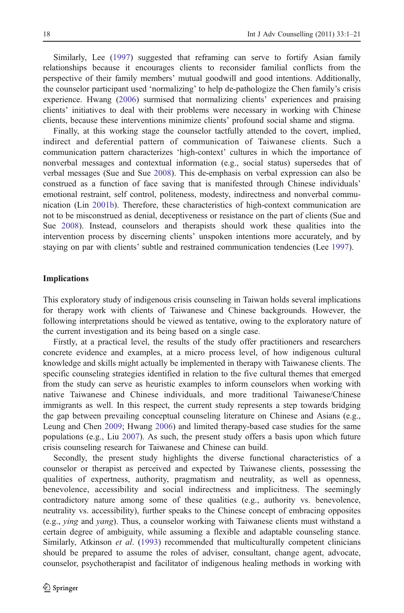Similarly, Lee ([1997\)](#page-20-0) suggested that reframing can serve to fortify Asian family relationships because it encourages clients to reconsider familial conflicts from the perspective of their family members' mutual goodwill and good intentions. Additionally, the counselor participant used 'normalizing' to help de-pathologize the Chen family's crisis experience. Hwang [\(2006](#page-20-0)) surmised that normalizing clients' experiences and praising clients' initiatives to deal with their problems were necessary in working with Chinese clients, because these interventions minimize clients' profound social shame and stigma.

Finally, at this working stage the counselor tactfully attended to the covert, implied, indirect and deferential pattern of communication of Taiwanese clients. Such a communication pattern characterizes 'high-context' cultures in which the importance of nonverbal messages and contextual information (e.g., social status) supersedes that of verbal messages (Sue and Sue [2008](#page-21-0)). This de-emphasis on verbal expression can also be construed as a function of face saving that is manifested through Chinese individuals' emotional restraint, self control, politeness, modesty, indirectness and nonverbal communication (Lin [2001b](#page-20-0)). Therefore, these characteristics of high-context communication are not to be misconstrued as denial, deceptiveness or resistance on the part of clients (Sue and Sue [2008\)](#page-21-0). Instead, counselors and therapists should work these qualities into the intervention process by discerning clients' unspoken intentions more accurately, and by staying on par with clients' subtle and restrained communication tendencies (Lee [1997\)](#page-20-0).

#### Implications

This exploratory study of indigenous crisis counseling in Taiwan holds several implications for therapy work with clients of Taiwanese and Chinese backgrounds. However, the following interpretations should be viewed as tentative, owing to the exploratory nature of the current investigation and its being based on a single case.

Firstly, at a practical level, the results of the study offer practitioners and researchers concrete evidence and examples, at a micro process level, of how indigenous cultural knowledge and skills might actually be implemented in therapy with Taiwanese clients. The specific counseling strategies identified in relation to the five cultural themes that emerged from the study can serve as heuristic examples to inform counselors when working with native Taiwanese and Chinese individuals, and more traditional Taiwanese/Chinese immigrants as well. In this respect, the current study represents a step towards bridging the gap between prevailing conceptual counseling literature on Chinese and Asians (e.g., Leung and Chen [2009;](#page-20-0) Hwang [2006\)](#page-20-0) and limited therapy-based case studies for the same populations (e.g., Liu [2007\)](#page-20-0). As such, the present study offers a basis upon which future crisis counseling research for Taiwanese and Chinese can build.

Secondly, the present study highlights the diverse functional characteristics of a counselor or therapist as perceived and expected by Taiwanese clients, possessing the qualities of expertness, authority, pragmatism and neutrality, as well as openness, benevolence, accessibility and social indirectness and implicitness. The seemingly contradictory nature among some of these qualities (e.g., authority vs. benevolence, neutrality vs. accessibility), further speaks to the Chinese concept of embracing opposites (e.g., ying and yang). Thus, a counselor working with Taiwanese clients must withstand a certain degree of ambiguity, while assuming a flexible and adaptable counseling stance. Similarly, Atkinson *et al.* [\(1993](#page-19-0)) recommended that multiculturally competent clinicians should be prepared to assume the roles of adviser, consultant, change agent, advocate, counselor, psychotherapist and facilitator of indigenous healing methods in working with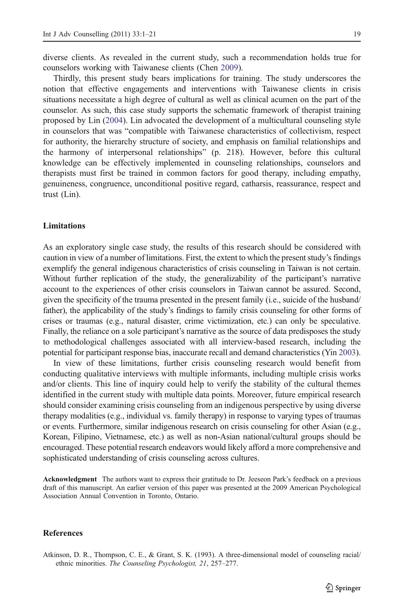<span id="page-19-0"></span>diverse clients. As revealed in the current study, such a recommendation holds true for counselors working with Taiwanese clients (Chen [2009](#page-20-0)).

Thirdly, this present study bears implications for training. The study underscores the notion that effective engagements and interventions with Taiwanese clients in crisis situations necessitate a high degree of cultural as well as clinical acumen on the part of the counselor. As such, this case study supports the schematic framework of therapist training proposed by Lin ([2004\)](#page-20-0). Lin advocated the development of a multicultural counseling style in counselors that was "compatible with Taiwanese characteristics of collectivism, respect for authority, the hierarchy structure of society, and emphasis on familial relationships and the harmony of interpersonal relationships" (p. 218). However, before this cultural knowledge can be effectively implemented in counseling relationships, counselors and therapists must first be trained in common factors for good therapy, including empathy, genuineness, congruence, unconditional positive regard, catharsis, reassurance, respect and trust (Lin).

#### Limitations

As an exploratory single case study, the results of this research should be considered with caution in view of a number of limitations. First, the extent to which the present study's findings exemplify the general indigenous characteristics of crisis counseling in Taiwan is not certain. Without further replication of the study, the generalizability of the participant's narrative account to the experiences of other crisis counselors in Taiwan cannot be assured. Second, given the specificity of the trauma presented in the present family (i.e., suicide of the husband/ father), the applicability of the study's findings to family crisis counseling for other forms of crises or traumas (e.g., natural disaster, crime victimization, etc.) can only be speculative. Finally, the reliance on a sole participant's narrative as the source of data predisposes the study to methodological challenges associated with all interview-based research, including the potential for participant response bias, inaccurate recall and demand characteristics (Yin [2003](#page-21-0)).

In view of these limitations, further crisis counseling research would benefit from conducting qualitative interviews with multiple informants, including multiple crisis works and/or clients. This line of inquiry could help to verify the stability of the cultural themes identified in the current study with multiple data points. Moreover, future empirical research should consider examining crisis counseling from an indigenous perspective by using diverse therapy modalities (e.g., individual vs. family therapy) in response to varying types of traumas or events. Furthermore, similar indigenous research on crisis counseling for other Asian (e.g., Korean, Filipino, Vietnamese, etc.) as well as non-Asian national/cultural groups should be encouraged. These potential research endeavors would likely afford a more comprehensive and sophisticated understanding of crisis counseling across cultures.

Acknowledgment The authors want to express their gratitude to Dr. Jeeseon Park's feedback on a previous draft of this manuscript. An earlier version of this paper was presented at the 2009 American Psychological Association Annual Convention in Toronto, Ontario.

#### References

Atkinson, D. R., Thompson, C. E., & Grant, S. K. (1993). A three-dimensional model of counseling racial/ ethnic minorities. The Counseling Psychologist, 21, 257–277.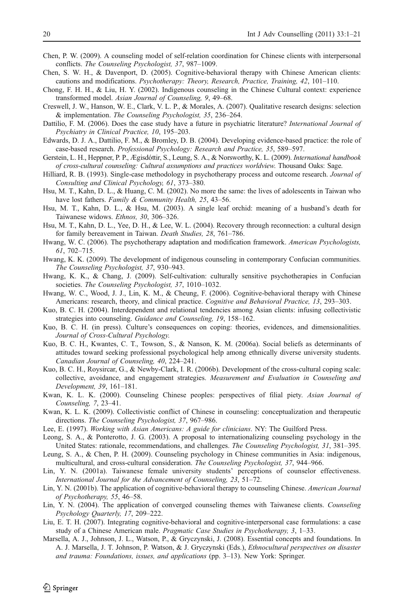- <span id="page-20-0"></span>Chen, P. W. (2009). A counseling model of self-relation coordination for Chinese clients with interpersonal conflicts. The Counseling Psychologist, 37, 987–1009.
- Chen, S. W. H., & Davenport, D. (2005). Cognitive-behavioral therapy with Chinese American clients: cautions and modifications. Psychotherapy: Theory, Research, Practice, Training, 42, 101–110.
- Chong, F. H. H., & Liu, H. Y. (2002). Indigenous counseling in the Chinese Cultural context: experience transformed model. Asian Journal of Counseling, 9, 49–68.
- Creswell, J. W., Hanson, W. E., Clark, V. L. P., & Morales, A. (2007). Qualitative research designs: selection & implementation. The Counseling Psychologist, 35, 236–264.
- Dattilio, F. M. (2006). Does the case study have a future in psychiatric literature? International Journal of Psychiatry in Clinical Practice, 10, 195–203.
- Edwards, D. J. A., Dattilio, F. M., & Bromley, D. B. (2004). Developing evidence-based practice: the role of case-based research. Professional Psychology: Research and Practice, 35, 589–597.
- Gerstein, L. H., Heppner, P. P., Ægisdóttir, S., Leung, S. A., & Norsworthy, K. L. (2009). International handbook of cross-cultural counseling: Cultural assumptions and practices worldview. Thousand Oaks: Sage.
- Hilliard, R. B. (1993). Single-case methodology in psychotherapy process and outcome research. Journal of Consulting and Clinical Psychology, 61, 373–380.
- Hsu, M. T., Kahn, D. L., & Huang, C. M. (2002). No more the same: the lives of adolescents in Taiwan who have lost fathers. Family & Community Health, 25, 43-56.
- Hsu, M. T., Kahn, D. L., & Hsu, M. (2003). A single leaf orchid: meaning of a husband's death for Taiwanese widows. Ethnos, 30, 306–326.
- Hsu, M. T., Kahn, D. L., Yee, D. H., & Lee, W. L. (2004). Recovery through reconnection: a cultural design for family bereavement in Taiwan. Death Studies, 28, 761–786.
- Hwang, W. C. (2006). The psychotherapy adaptation and modification framework. American Psychologists, 61, 702–715.
- Hwang, K. K. (2009). The development of indigenous counseling in contemporary Confucian communities. The Counseling Psychologist, 37, 930–943.
- Hwang, K. K., & Chang, J. (2009). Self-cultivation: culturally sensitive psychotherapies in Confucian societies. The Counseling Psychologist, 37, 1010-1032.
- Hwang, W. C., Wood, J. J., Lin, K. M., & Cheung, F. (2006). Cognitive-behavioral therapy with Chinese Americans: research, theory, and clinical practice. Cognitive and Behavioral Practice, 13, 293–303.
- Kuo, B. C. H. (2004). Interdependent and relational tendencies among Asian clients: infusing collectivistic strategies into counseling. Guidance and Counseling, 19, 158–162.
- Kuo, B. C. H. (in press). Culture's consequences on coping: theories, evidences, and dimensionalities. Journal of Cross-Cultural Psychology.
- Kuo, B. C. H., Kwantes, C. T., Towson, S., & Nanson, K. M. (2006a). Social beliefs as determinants of attitudes toward seeking professional psychological help among ethnically diverse university students. Canadian Journal of Counseling, 40, 224–241.
- Kuo, B. C. H., Roysircar, G., & Newby-Clark, I. R. (2006b). Development of the cross-cultural coping scale: collective, avoidance, and engagement strategies. Measurement and Evaluation in Counseling and Development, 39, 161–181.
- Kwan, K. L. K. (2000). Counseling Chinese peoples: perspectives of filial piety. Asian Journal of Counseling, 7, 23–41.
- Kwan, K. L. K. (2009). Collectivistic conflict of Chinese in counseling: conceptualization and therapeutic directions. The Counseling Psychologist, 37, 967–986.
- Lee, E. (1997). Working with Asian Americans: A guide for clinicians. NY: The Guilford Press.
- Leong, S. A., & Ponterotto, J. G. (2003). A proposal to internationalizing counseling psychology in the United States: rationale, recommendations, and challenges. The Counseling Psychologist, 31, 381–395.
- Leung, S. A., & Chen, P. H. (2009). Counseling psychology in Chinese communities in Asia: indigenous, multicultural, and cross-cultural consideration. The Counseling Psychologist, 37, 944–966.
- Lin, Y. N. (2001a). Taiwanese female university students' perceptions of counselor effectiveness. International Journal for the Advancement of Counseling, 23, 51–72.
- Lin, Y. N. (2001b). The application of cognitive-behavioral therapy to counseling Chinese. American Journal of Psychotherapy, 55, 46–58.
- Lin, Y. N. (2004). The application of converged counseling themes with Taiwanese clients. Counseling Psychology Quarterly, 17, 209–222.
- Liu, E. T. H. (2007). Integrating cognitive-behavioral and cognitive-interpersonal case formulations: a case study of a Chinese American male. Pragmatic Case Studies in Psychotherapy, 3, 1–33.
- Marsella, A. J., Johnson, J. L., Watson, P., & Gryczynski, J. (2008). Essential concepts and foundations. In A. J. Marsella, J. T. Johnson, P. Watson, & J. Gryczynski (Eds.), Ethnocultural perspectives on disaster and trauma: Foundations, issues, and applications (pp. 3–13). New York: Springer.